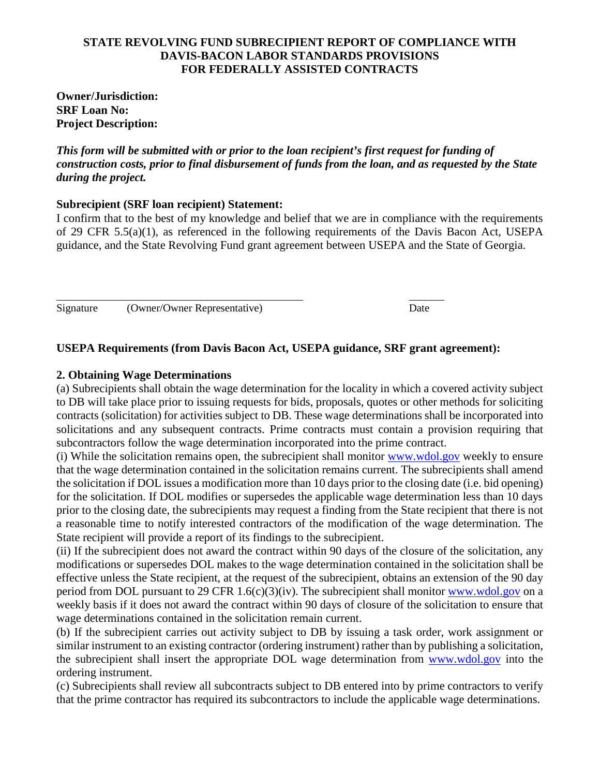#### **STATE REVOLVING FUND SUBRECIPIENT REPORT OF COMPLIANCE WITH DAVIS-BACON LABOR STANDARDS PROVISIONS FOR FEDERALLY ASSISTED CONTRACTS**

### **Owner/Jurisdiction: SRF Loan No: Project Description:**

*This form will be submitted with or prior to the loan recipient's first request for funding of construction costs, prior to final disbursement of funds from the loan, and as requested by the State during the project.*

## **Subrecipient (SRF loan recipient) Statement:**

I confirm that to the best of my knowledge and belief that we are in compliance with the requirements of 29 CFR 5.5(a)(1), as referenced in the following requirements of the Davis Bacon Act, USEPA guidance, and the State Revolving Fund grant agreement between USEPA and the State of Georgia.

Signature (Owner/Owner Representative) Date

# **USEPA Requirements (from Davis Bacon Act, USEPA guidance, SRF grant agreement):**

## **2. Obtaining Wage Determinations**

(a) Subrecipients shall obtain the wage determination for the locality in which a covered activity subject to DB will take place prior to issuing requests for bids, proposals, quotes or other methods for soliciting contracts (solicitation) for activities subject to DB. These wage determinations shall be incorporated into solicitations and any subsequent contracts. Prime contracts must contain a provision requiring that subcontractors follow the wage determination incorporated into the prime contract.

(i) While the solicitation remains open, the subrecipient shall monitor www.wdol.gov weekly to ensure that the wage determination contained in the solicitation remains current. The subrecipients shall amend the solicitation if DOL issues a modification more than 10 days prior to the closing date (i.e. bid opening) for the solicitation. If DOL modifies or supersedes the applicable wage determination less than 10 days prior to the closing date, the subrecipients may request a finding from the State recipient that there is not a reasonable time to notify interested contractors of the modification of the wage determination. The State recipient will provide a report of its findings to the subrecipient.

(ii) If the subrecipient does not award the contract within 90 days of the closure of the solicitation, any modifications or supersedes DOL makes to the wage determination contained in the solicitation shall be effective unless the State recipient, at the request of the subrecipient, obtains an extension of the 90 day period from DOL pursuant to 29 CFR  $1.6(c)(3)(iv)$ . The subrecipient shall monitor www.wdol.gov on a weekly basis if it does not award the contract within 90 days of closure of the solicitation to ensure that wage determinations contained in the solicitation remain current.

(b) If the subrecipient carries out activity subject to DB by issuing a task order, work assignment or similar instrument to an existing contractor (ordering instrument) rather than by publishing a solicitation, the subrecipient shall insert the appropriate DOL wage determination from [www.wdol.gov](http://www.wdol.gov/) into the ordering instrument.

(c) Subrecipients shall review all subcontracts subject to DB entered into by prime contractors to verify that the prime contractor has required its subcontractors to include the applicable wage determinations.